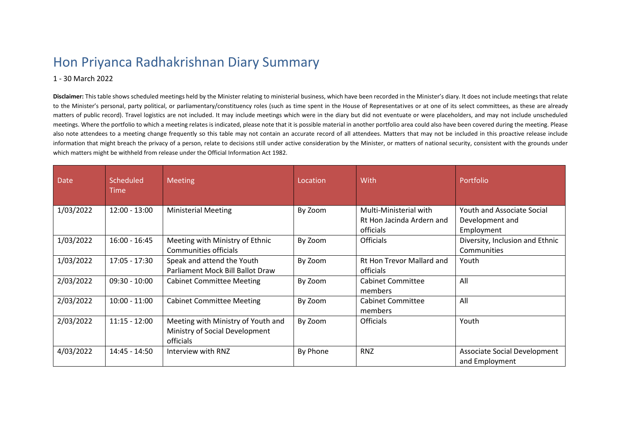## Hon Priyanca Radhakrishnan Diary Summary

## 1 - 30 March 2022

**Disclaimer:** This table shows scheduled meetings held by the Minister relating to ministerial business, which have been recorded in the Minister's diary. It does not include meetings that relate to the Minister's personal, party political, or parliamentary/constituency roles (such as time spent in the House of Representatives or at one of its select committees, as these are already matters of public record). Travel logistics are not included. It may include meetings which were in the diary but did not eventuate or were placeholders, and may not include unscheduled meetings. Where the portfolio to which a meeting relates is indicated, please note that it is possible material in another portfolio area could also have been covered during the meeting. Please also note attendees to a meeting change frequently so this table may not contain an accurate record of all attendees. Matters that may not be included in this proactive release include information that might breach the privacy of a person, relate to decisions still under active consideration by the Minister, or matters of national security, consistent with the grounds under which matters might be withheld from release under the Official Information Act 1982.

| Date      | Scheduled<br>Time | <b>Meeting</b>                                                                    | Location | With                                                             | Portfolio                                                   |
|-----------|-------------------|-----------------------------------------------------------------------------------|----------|------------------------------------------------------------------|-------------------------------------------------------------|
| 1/03/2022 | 12:00 - 13:00     | <b>Ministerial Meeting</b>                                                        | By Zoom  | Multi-Ministerial with<br>Rt Hon Jacinda Ardern and<br>officials | Youth and Associate Social<br>Development and<br>Employment |
| 1/03/2022 | $16:00 - 16:45$   | Meeting with Ministry of Ethnic<br>Communities officials                          | By Zoom  | <b>Officials</b>                                                 | Diversity, Inclusion and Ethnic<br>Communities              |
| 1/03/2022 | 17:05 - 17:30     | Speak and attend the Youth<br>Parliament Mock Bill Ballot Draw                    | By Zoom  | Rt Hon Trevor Mallard and<br>officials                           | Youth                                                       |
| 2/03/2022 | $09:30 - 10:00$   | <b>Cabinet Committee Meeting</b>                                                  | By Zoom  | Cabinet Committee<br>members                                     | All                                                         |
| 2/03/2022 | $10:00 - 11:00$   | <b>Cabinet Committee Meeting</b>                                                  | By Zoom  | <b>Cabinet Committee</b><br>members                              | All                                                         |
| 2/03/2022 | $11:15 - 12:00$   | Meeting with Ministry of Youth and<br>Ministry of Social Development<br>officials | By Zoom  | <b>Officials</b>                                                 | Youth                                                       |
| 4/03/2022 | 14:45 - 14:50     | Interview with RNZ                                                                | By Phone | <b>RNZ</b>                                                       | Associate Social Development<br>and Employment              |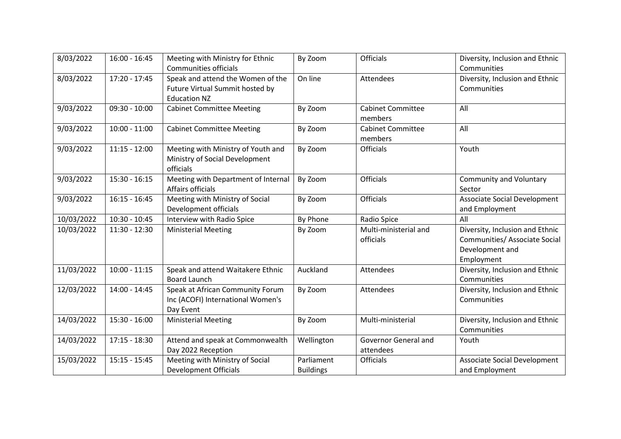| 8/03/2022  | $16:00 - 16:45$ | Meeting with Ministry for Ethnic<br>Communities officials                                   | By Zoom                        | Officials                           | Diversity, Inclusion and Ethnic<br>Communities                                                    |
|------------|-----------------|---------------------------------------------------------------------------------------------|--------------------------------|-------------------------------------|---------------------------------------------------------------------------------------------------|
| 8/03/2022  | 17:20 - 17:45   | Speak and attend the Women of the<br>Future Virtual Summit hosted by<br><b>Education NZ</b> | On line                        | Attendees                           | Diversity, Inclusion and Ethnic<br>Communities                                                    |
| 9/03/2022  | $09:30 - 10:00$ | <b>Cabinet Committee Meeting</b>                                                            | By Zoom                        | <b>Cabinet Committee</b><br>members | All                                                                                               |
| 9/03/2022  | $10:00 - 11:00$ | <b>Cabinet Committee Meeting</b>                                                            | By Zoom                        | <b>Cabinet Committee</b><br>members | All                                                                                               |
| 9/03/2022  | $11:15 - 12:00$ | Meeting with Ministry of Youth and<br>Ministry of Social Development<br>officials           | By Zoom                        | <b>Officials</b>                    | Youth                                                                                             |
| 9/03/2022  | $15:30 - 16:15$ | Meeting with Department of Internal<br>Affairs officials                                    | By Zoom                        | <b>Officials</b>                    | <b>Community and Voluntary</b><br>Sector                                                          |
| 9/03/2022  | $16:15 - 16:45$ | Meeting with Ministry of Social<br>Development officials                                    | By Zoom                        | <b>Officials</b>                    | Associate Social Development<br>and Employment                                                    |
| 10/03/2022 | 10:30 - 10:45   | Interview with Radio Spice                                                                  | By Phone                       | Radio Spice                         | All                                                                                               |
| 10/03/2022 | $11:30 - 12:30$ | <b>Ministerial Meeting</b>                                                                  | By Zoom                        | Multi-ministerial and<br>officials  | Diversity, Inclusion and Ethnic<br>Communities/ Associate Social<br>Development and<br>Employment |
| 11/03/2022 | $10:00 - 11:15$ | Speak and attend Waitakere Ethnic<br><b>Board Launch</b>                                    | Auckland                       | Attendees                           | Diversity, Inclusion and Ethnic<br>Communities                                                    |
| 12/03/2022 | 14:00 - 14:45   | Speak at African Community Forum<br>Inc (ACOFI) International Women's<br>Day Event          | By Zoom                        | Attendees                           | Diversity, Inclusion and Ethnic<br>Communities                                                    |
| 14/03/2022 | 15:30 - 16:00   | <b>Ministerial Meeting</b>                                                                  | By Zoom                        | Multi-ministerial                   | Diversity, Inclusion and Ethnic<br>Communities                                                    |
| 14/03/2022 | $17:15 - 18:30$ | Attend and speak at Commonwealth<br>Day 2022 Reception                                      | Wellington                     | Governor General and<br>attendees   | Youth                                                                                             |
| 15/03/2022 | $15:15 - 15:45$ | Meeting with Ministry of Social<br><b>Development Officials</b>                             | Parliament<br><b>Buildings</b> | Officials                           | Associate Social Development<br>and Employment                                                    |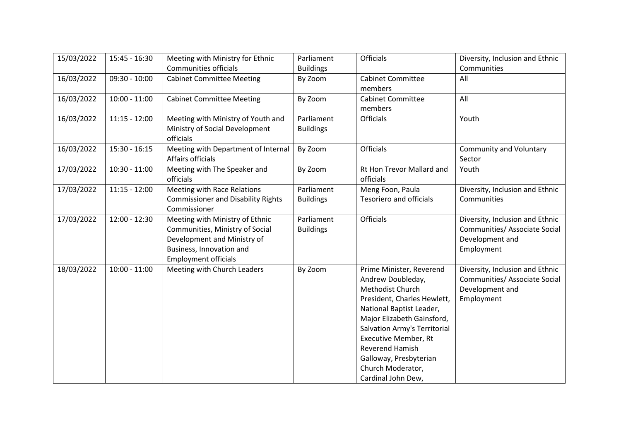| 15/03/2022 | 15:45 - 16:30   | Meeting with Ministry for Ethnic          | Parliament       | <b>Officials</b>               | Diversity, Inclusion and Ethnic |
|------------|-----------------|-------------------------------------------|------------------|--------------------------------|---------------------------------|
|            |                 | Communities officials                     | <b>Buildings</b> |                                | Communities                     |
| 16/03/2022 | $09:30 - 10:00$ | <b>Cabinet Committee Meeting</b>          | By Zoom          | <b>Cabinet Committee</b>       | All                             |
|            |                 |                                           |                  | members                        |                                 |
| 16/03/2022 | $10:00 - 11:00$ | <b>Cabinet Committee Meeting</b>          | By Zoom          | <b>Cabinet Committee</b>       | All                             |
|            |                 |                                           |                  | members                        |                                 |
| 16/03/2022 | $11:15 - 12:00$ | Meeting with Ministry of Youth and        | Parliament       | <b>Officials</b>               | Youth                           |
|            |                 | Ministry of Social Development            | <b>Buildings</b> |                                |                                 |
|            |                 | officials                                 |                  |                                |                                 |
| 16/03/2022 | 15:30 - 16:15   | Meeting with Department of Internal       | By Zoom          | <b>Officials</b>               | <b>Community and Voluntary</b>  |
|            |                 | Affairs officials                         |                  |                                | Sector                          |
| 17/03/2022 | $10:30 - 11:00$ | Meeting with The Speaker and              | By Zoom          | Rt Hon Trevor Mallard and      | Youth                           |
|            |                 | officials                                 |                  | officials                      |                                 |
| 17/03/2022 | $11:15 - 12:00$ | Meeting with Race Relations               | Parliament       | Meng Foon, Paula               | Diversity, Inclusion and Ethnic |
|            |                 | <b>Commissioner and Disability Rights</b> | <b>Buildings</b> | <b>Tesoriero and officials</b> | Communities                     |
|            |                 | Commissioner                              |                  |                                |                                 |
| 17/03/2022 | $12:00 - 12:30$ | Meeting with Ministry of Ethnic           | Parliament       | <b>Officials</b>               | Diversity, Inclusion and Ethnic |
|            |                 | Communities, Ministry of Social           | <b>Buildings</b> |                                | Communities/ Associate Social   |
|            |                 | Development and Ministry of               |                  |                                | Development and                 |
|            |                 | Business, Innovation and                  |                  |                                | Employment                      |
|            |                 | <b>Employment officials</b>               |                  |                                |                                 |
| 18/03/2022 | $10:00 - 11:00$ | Meeting with Church Leaders               | By Zoom          | Prime Minister, Reverend       | Diversity, Inclusion and Ethnic |
|            |                 |                                           |                  | Andrew Doubleday,              | Communities/ Associate Social   |
|            |                 |                                           |                  | Methodist Church               | Development and                 |
|            |                 |                                           |                  | President, Charles Hewlett,    | Employment                      |
|            |                 |                                           |                  | National Baptist Leader,       |                                 |
|            |                 |                                           |                  | Major Elizabeth Gainsford,     |                                 |
|            |                 |                                           |                  | Salvation Army's Territorial   |                                 |
|            |                 |                                           |                  | <b>Executive Member, Rt</b>    |                                 |
|            |                 |                                           |                  | Reverend Hamish                |                                 |
|            |                 |                                           |                  | Galloway, Presbyterian         |                                 |
|            |                 |                                           |                  | Church Moderator,              |                                 |
|            |                 |                                           |                  | Cardinal John Dew,             |                                 |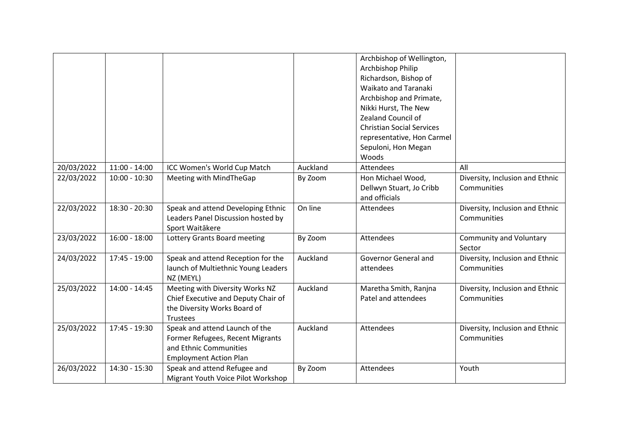|            |                 |                                                                                                                               |          | Archbishop of Wellington,<br>Archbishop Philip<br>Richardson, Bishop of<br><b>Waikato and Taranaki</b><br>Archbishop and Primate,<br>Nikki Hurst, The New<br>Zealand Council of<br><b>Christian Social Services</b><br>representative, Hon Carmel<br>Sepuloni, Hon Megan<br>Woods |                                                |
|------------|-----------------|-------------------------------------------------------------------------------------------------------------------------------|----------|-----------------------------------------------------------------------------------------------------------------------------------------------------------------------------------------------------------------------------------------------------------------------------------|------------------------------------------------|
| 20/03/2022 | $11:00 - 14:00$ | ICC Women's World Cup Match                                                                                                   | Auckland | Attendees                                                                                                                                                                                                                                                                         | All                                            |
| 22/03/2022 | $10:00 - 10:30$ | Meeting with MindTheGap                                                                                                       | By Zoom  | Hon Michael Wood,<br>Dellwyn Stuart, Jo Cribb<br>and officials                                                                                                                                                                                                                    | Diversity, Inclusion and Ethnic<br>Communities |
| 22/03/2022 | 18:30 - 20:30   | Speak and attend Developing Ethnic<br>Leaders Panel Discussion hosted by<br>Sport Waitākere                                   | On line  | Attendees                                                                                                                                                                                                                                                                         | Diversity, Inclusion and Ethnic<br>Communities |
| 23/03/2022 | $16:00 - 18:00$ | Lottery Grants Board meeting                                                                                                  | By Zoom  | Attendees                                                                                                                                                                                                                                                                         | <b>Community and Voluntary</b><br>Sector       |
| 24/03/2022 | 17:45 - 19:00   | Speak and attend Reception for the<br>launch of Multiethnic Young Leaders<br>NZ (MEYL)                                        | Auckland | Governor General and<br>attendees                                                                                                                                                                                                                                                 | Diversity, Inclusion and Ethnic<br>Communities |
| 25/03/2022 | 14:00 - 14:45   | Meeting with Diversity Works NZ<br>Chief Executive and Deputy Chair of<br>the Diversity Works Board of<br><b>Trustees</b>     | Auckland | Maretha Smith, Ranjna<br>Patel and attendees                                                                                                                                                                                                                                      | Diversity, Inclusion and Ethnic<br>Communities |
| 25/03/2022 | 17:45 - 19:30   | Speak and attend Launch of the<br>Former Refugees, Recent Migrants<br>and Ethnic Communities<br><b>Employment Action Plan</b> | Auckland | <b>Attendees</b>                                                                                                                                                                                                                                                                  | Diversity, Inclusion and Ethnic<br>Communities |
| 26/03/2022 | 14:30 - 15:30   | Speak and attend Refugee and<br>Migrant Youth Voice Pilot Workshop                                                            | By Zoom  | <b>Attendees</b>                                                                                                                                                                                                                                                                  | Youth                                          |